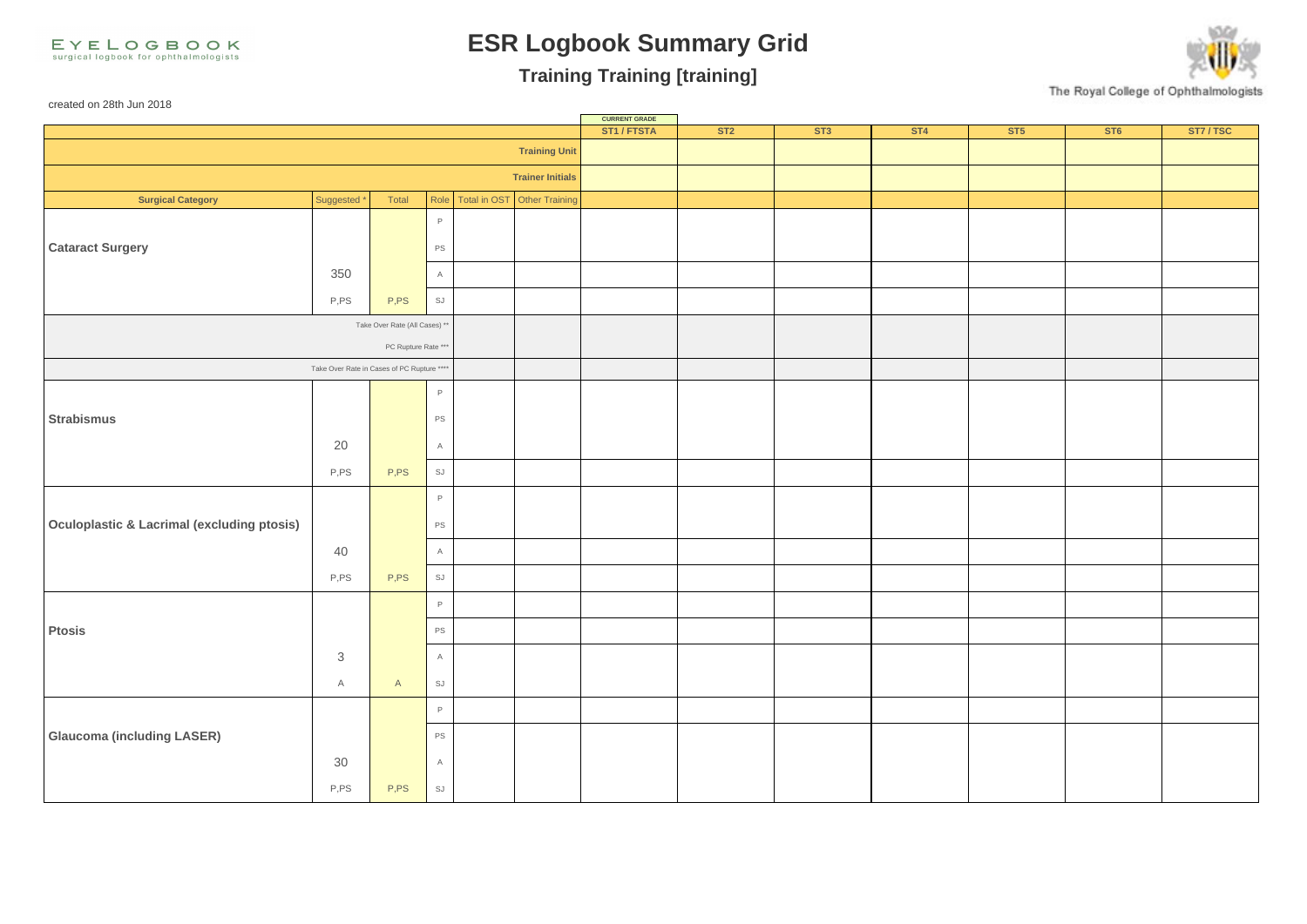EYELOGBOOK surgical logbook for ophthalmologists

created on 28th Jun 2018

## **ESR Logbook Summary Grid**

## **Training Training [training]**

The Royal College of Ophthalmologists

**CURRENT GRADE**<br>**ST1 / FTSTA ST1 / FTSTA ST2 ST3 ST4 ST5 ST6 ST7 / TSC Training Unit Trainer Initials Surgical Category** Suggested \* Total Role Total in OST Other Training P **Cataract Surgery PS PS**  $350$  A P,PS SJ Take Over Rate (All Cases) PC Rupture Rate Take Over Rate in Cases of PC Rupture \*\*\* P **Strabismus** PS **PS** 20  $\vert$  A P,PS SJ P **Oculoplastic & Lacrimal (excluding ptosis)** 40 **A** P,PS SJ P Ptosis **Provides and the providence of the providence of the providence of the providence of the providence of the providence of the providence of the providence of the providence of the providence of the providence of the** 3 A A A SJ P **Glaucoma (including LASER) PS**  $30$  A P,PS | SJ